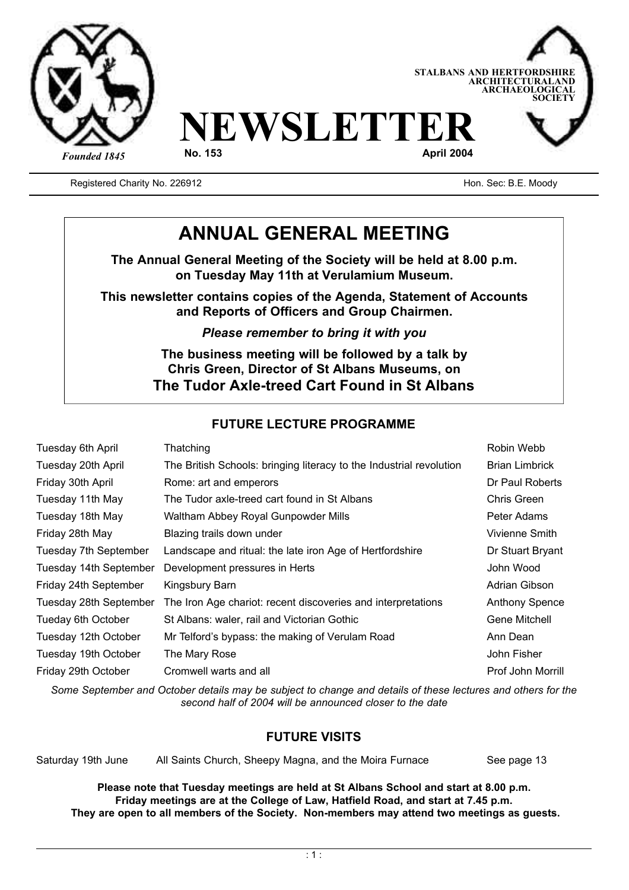



Registered Charity No. 226912 **Hone Strutter Charity No. 226912** Hon. Sec: B.E. Moody

## **ANNUAL GENERAL MEETING**

**The Annual General Meeting of the Society will be held at 8.00 p.m. on Tuesday May 11th at Verulamium Museum.**

**This newsletter contains copies of the Agenda, Statement of Accounts and Reports of Officers and Group Chairmen.**

*Please remember to bring it with you*

**The business meeting will be followed by a talk by Chris Green, Director of St Albans Museums, on The Tudor Axle-treed Cart Found in St Albans**

### **FUTURE LECTURE PROGRAMME**

| Tuesday 6th April      | Thatching                                                           | Robin Webb            |
|------------------------|---------------------------------------------------------------------|-----------------------|
| Tuesday 20th April     | The British Schools: bringing literacy to the Industrial revolution | <b>Brian Limbrick</b> |
| Friday 30th April      | Rome: art and emperors                                              | Dr Paul Roberts       |
| Tuesday 11th May       | The Tudor axle-treed cart found in St Albans                        | Chris Green           |
| Tuesday 18th May       | Waltham Abbey Royal Gunpowder Mills                                 | Peter Adams           |
| Friday 28th May        | Blazing trails down under                                           | Vivienne Smith        |
| Tuesday 7th September  | Landscape and ritual: the late iron Age of Hertfordshire            | Dr Stuart Bryant      |
| Tuesday 14th September | Development pressures in Herts                                      | John Wood             |
| Friday 24th September  | Kingsbury Barn                                                      | Adrian Gibson         |
| Tuesday 28th September | The Iron Age chariot: recent discoveries and interpretations        | <b>Anthony Spence</b> |
| Tueday 6th October     | St Albans: waler, rail and Victorian Gothic                         | Gene Mitchell         |
| Tuesday 12th October   | Mr Telford's bypass: the making of Verulam Road                     | Ann Dean              |
| Tuesday 19th October   | The Mary Rose                                                       | John Fisher           |
| Friday 29th October    | Cromwell warts and all                                              | Prof John Morrill     |

*Some September and October details may be subject to change and details of these lectures and others for the second half of 2004 will be announced closer to the date*

### **FUTURE VISITS**

Saturday 19th June All Saints Church, Sheepy Magna, and the Moira Furnace See page 13

**Please note that Tuesday meetings are held at St Albans School and start at 8.00 p.m. Friday meetings are at the College of Law, Hatfield Road, and start at 7.45 p.m. They are open to all members of the Society. Non-members may attend two meetings as guests.**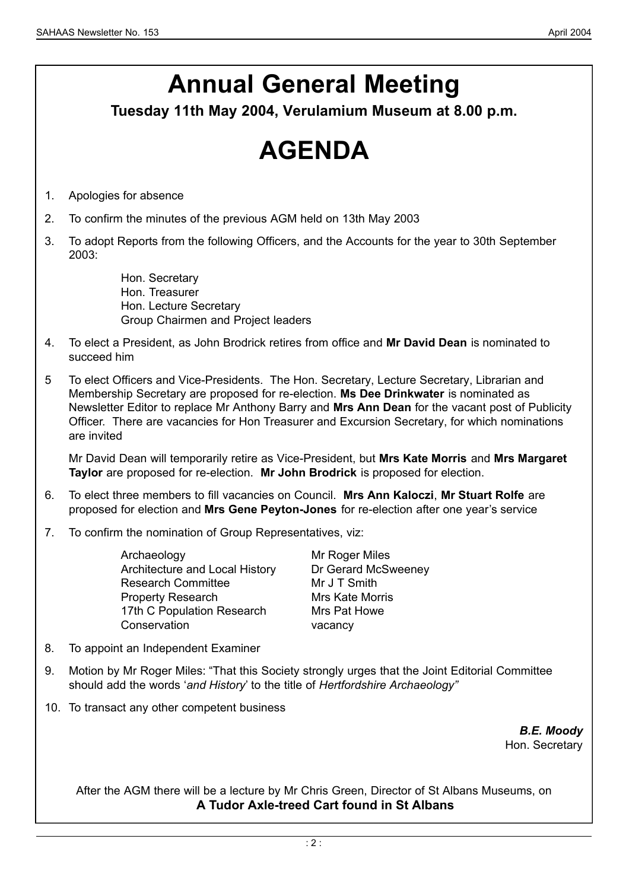# **Annual General Meeting**

**Tuesday 11th May 2004, Verulamium Museum at 8.00 p.m.**

# **AGENDA**

- 1. Apologies for absence
- 2. To confirm the minutes of the previous AGM held on 13th May 2003
- 3. To adopt Reports from the following Officers, and the Accounts for the year to 30th September 2003:

Hon. Secretary Hon. Treasurer Hon. Lecture Secretary Group Chairmen and Project leaders

- 4. To elect a President, as John Brodrick retires from office and **Mr David Dean** is nominated to succeed him
- 5 To elect Officers and Vice-Presidents. The Hon. Secretary, Lecture Secretary, Librarian and Membership Secretary are proposed for re-election. **Ms Dee Drinkwater** is nominated as Newsletter Editor to replace Mr Anthony Barry and **Mrs Ann Dean** for the vacant post of Publicity Officer. There are vacancies for Hon Treasurer and Excursion Secretary, for which nominations are invited

Mr David Dean will temporarily retire as Vice-President, but **Mrs Kate Morris** and **Mrs Margaret Taylor** are proposed for re-election. **Mr John Brodrick** is proposed for election.

- 6. To elect three members to fill vacancies on Council. **Mrs Ann Kaloczi**, **Mr Stuart Rolfe** are proposed for election and **Mrs Gene Peyton-Jones** for re-election after one year's service
- 7. To confirm the nomination of Group Representatives, viz:

Archaeology Mr Roger Miles Architecture and Local History Dr Gerard McSweeney Research Committee Mr J T Smith Property Research Mrs Kate Morris 17th C Population Research Mrs Pat Howe Conservation vacancy

- 8. To appoint an Independent Examiner
- 9. Motion by Mr Roger Miles: "That this Society strongly urges that the Joint Editorial Committee should add the words '*and History*' to the title of *Hertfordshire Archaeology"*
- 10. To transact any other competent business

*B.E. Moody* Hon. Secretary

After the AGM there will be a lecture by Mr Chris Green, Director of St Albans Museums, on **A Tudor Axle-treed Cart found in St Albans**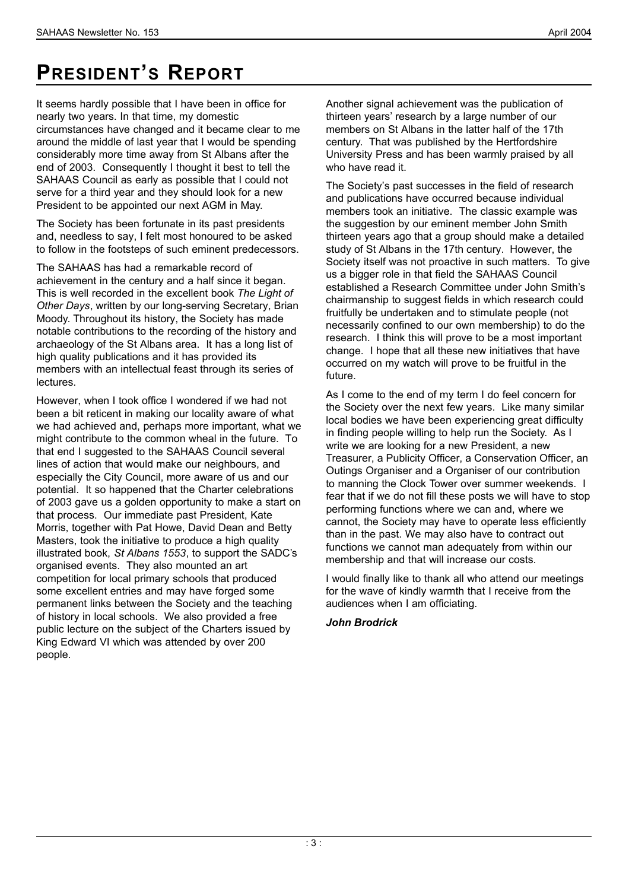## **PRESIDENT'S REPORT**

It seems hardly possible that I have been in office for nearly two years. In that time, my domestic circumstances have changed and it became clear to me around the middle of last year that I would be spending considerably more time away from St Albans after the end of 2003. Consequently I thought it best to tell the SAHAAS Council as early as possible that I could not serve for a third year and they should look for a new President to be appointed our next AGM in May.

The Society has been fortunate in its past presidents and, needless to say, I felt most honoured to be asked to follow in the footsteps of such eminent predecessors.

The SAHAAS has had a remarkable record of achievement in the century and a half since it began. This is well recorded in the excellent book *The Light of Other Days*, written by our long-serving Secretary, Brian Moody. Throughout its history, the Society has made notable contributions to the recording of the history and archaeology of the St Albans area. It has a long list of high quality publications and it has provided its members with an intellectual feast through its series of lectures.

However, when I took office I wondered if we had not been a bit reticent in making our locality aware of what we had achieved and, perhaps more important, what we might contribute to the common wheal in the future. To that end I suggested to the SAHAAS Council several lines of action that would make our neighbours, and especially the City Council, more aware of us and our potential. It so happened that the Charter celebrations of 2003 gave us a golden opportunity to make a start on that process. Our immediate past President, Kate Morris, together with Pat Howe, David Dean and Betty Masters, took the initiative to produce a high quality illustrated book, *St Albans 1553*, to support the SADC's organised events. They also mounted an art competition for local primary schools that produced some excellent entries and may have forged some permanent links between the Society and the teaching of history in local schools. We also provided a free public lecture on the subject of the Charters issued by King Edward VI which was attended by over 200 people.

Another signal achievement was the publication of thirteen years' research by a large number of our members on St Albans in the latter half of the 17th century. That was published by the Hertfordshire University Press and has been warmly praised by all who have read it.

The Society's past successes in the field of research and publications have occurred because individual members took an initiative. The classic example was the suggestion by our eminent member John Smith thirteen years ago that a group should make a detailed study of St Albans in the 17th century. However, the Society itself was not proactive in such matters. To give us a bigger role in that field the SAHAAS Council established a Research Committee under John Smith's chairmanship to suggest fields in which research could fruitfully be undertaken and to stimulate people (not necessarily confined to our own membership) to do the research. I think this will prove to be a most important change. I hope that all these new initiatives that have occurred on my watch will prove to be fruitful in the future.

As I come to the end of my term I do feel concern for the Society over the next few years. Like many similar local bodies we have been experiencing great difficulty in finding people willing to help run the Society. As I write we are looking for a new President, a new Treasurer, a Publicity Officer, a Conservation Officer, an Outings Organiser and a Organiser of our contribution to manning the Clock Tower over summer weekends. I fear that if we do not fill these posts we will have to stop performing functions where we can and, where we cannot, the Society may have to operate less efficiently than in the past. We may also have to contract out functions we cannot man adequately from within our membership and that will increase our costs.

I would finally like to thank all who attend our meetings for the wave of kindly warmth that I receive from the audiences when I am officiating.

### *John Brodrick*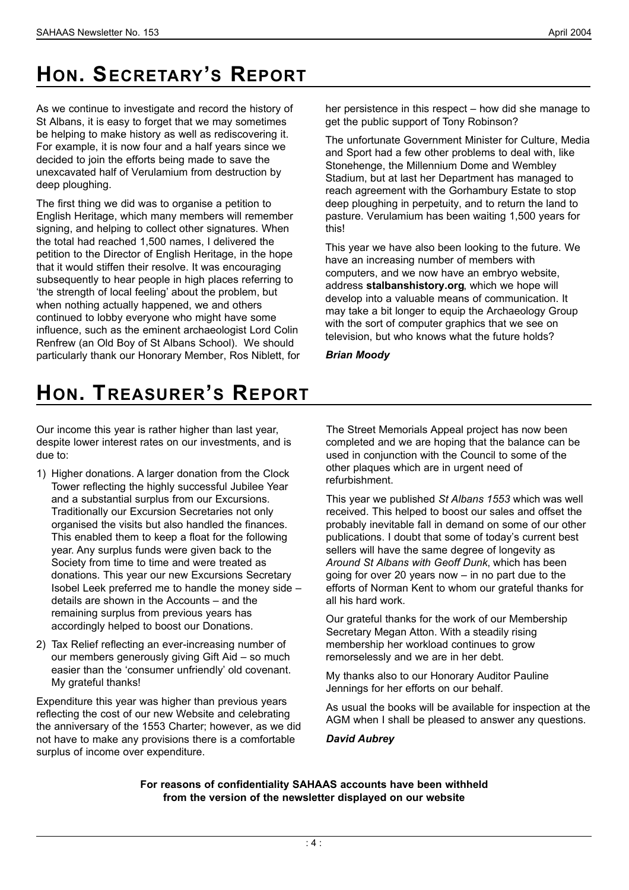# **HON. SECRETARY'S REPORT**

As we continue to investigate and record the history of St Albans, it is easy to forget that we may sometimes be helping to make history as well as rediscovering it. For example, it is now four and a half years since we decided to join the efforts being made to save the unexcavated half of Verulamium from destruction by deep ploughing.

The first thing we did was to organise a petition to English Heritage, which many members will remember signing, and helping to collect other signatures. When the total had reached 1,500 names, I delivered the petition to the Director of English Heritage, in the hope that it would stiffen their resolve. It was encouraging subsequently to hear people in high places referring to 'the strength of local feeling' about the problem, but when nothing actually happened, we and others continued to lobby everyone who might have some influence, such as the eminent archaeologist Lord Colin Renfrew (an Old Boy of St Albans School). We should particularly thank our Honorary Member, Ros Niblett, for her persistence in this respect – how did she manage to get the public support of Tony Robinson?

The unfortunate Government Minister for Culture, Media and Sport had a few other problems to deal with, like Stonehenge, the Millennium Dome and Wembley Stadium, but at last her Department has managed to reach agreement with the Gorhambury Estate to stop deep ploughing in perpetuity, and to return the land to pasture. Verulamium has been waiting 1,500 years for this!

This year we have also been looking to the future. We have an increasing number of members with computers, and we now have an embryo website, address **stalbanshistory.org**, which we hope will develop into a valuable means of communication. It may take a bit longer to equip the Archaeology Group with the sort of computer graphics that we see on television, but who knows what the future holds?

*Brian Moody*

# **HON. TREASURER'S REPORT**

Our income this year is rather higher than last year, despite lower interest rates on our investments, and is due to:

- 1) Higher donations. A larger donation from the Clock Tower reflecting the highly successful Jubilee Year and a substantial surplus from our Excursions. Traditionally our Excursion Secretaries not only organised the visits but also handled the finances. This enabled them to keep a float for the following year. Any surplus funds were given back to the Society from time to time and were treated as donations. This year our new Excursions Secretary Isobel Leek preferred me to handle the money side – details are shown in the Accounts – and the remaining surplus from previous years has accordingly helped to boost our Donations.
- 2) Tax Relief reflecting an ever-increasing number of our members generously giving Gift Aid – so much easier than the 'consumer unfriendly' old covenant. My grateful thanks!

Expenditure this year was higher than previous years reflecting the cost of our new Website and celebrating the anniversary of the 1553 Charter; however, as we did not have to make any provisions there is a comfortable surplus of income over expenditure.

The Street Memorials Appeal project has now been completed and we are hoping that the balance can be used in conjunction with the Council to some of the other plaques which are in urgent need of refurbishment.

This year we published *St Albans 1553* which was well received. This helped to boost our sales and offset the probably inevitable fall in demand on some of our other publications. I doubt that some of today's current best sellers will have the same degree of longevity as *Around St Albans with Geoff Dunk*, which has been going for over 20 years now – in no part due to the efforts of Norman Kent to whom our grateful thanks for all his hard work.

Our grateful thanks for the work of our Membership Secretary Megan Atton. With a steadily rising membership her workload continues to grow remorselessly and we are in her debt.

My thanks also to our Honorary Auditor Pauline Jennings for her efforts on our behalf.

As usual the books will be available for inspection at the AGM when I shall be pleased to answer any questions.

### *David Aubrey*

**For reasons of confidentiality SAHAAS accounts have been withheld from the version of the newsletter displayed on our website**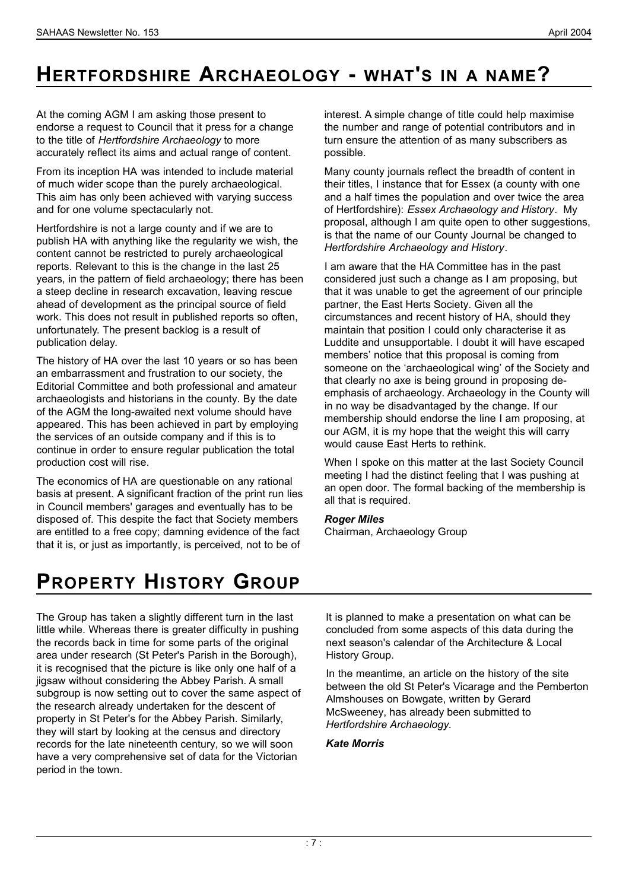At the coming AGM I am asking those present to endorse a request to Council that it press for a change to the title of *Hertfordshire Archaeology* to more accurately reflect its aims and actual range of content.

From its inception HA was intended to include material of much wider scope than the purely archaeological. This aim has only been achieved with varying success and for one volume spectacularly not.

Hertfordshire is not a large county and if we are to publish HA with anything like the regularity we wish, the content cannot be restricted to purely archaeological reports. Relevant to this is the change in the last 25 years, in the pattern of field archaeology; there has been a steep decline in research excavation, leaving rescue ahead of development as the principal source of field work. This does not result in published reports so often, unfortunately. The present backlog is a result of publication delay.

The history of HA over the last 10 years or so has been an embarrassment and frustration to our society, the Editorial Committee and both professional and amateur archaeologists and historians in the county. By the date of the AGM the long-awaited next volume should have appeared. This has been achieved in part by employing the services of an outside company and if this is to continue in order to ensure regular publication the total production cost will rise.

The economics of HA are questionable on any rational basis at present. A significant fraction of the print run lies in Council members' garages and eventually has to be disposed of. This despite the fact that Society members are entitled to a free copy; damning evidence of the fact that it is, or just as importantly, is perceived, not to be of

interest. A simple change of title could help maximise the number and range of potential contributors and in turn ensure the attention of as many subscribers as possible.

Many county journals reflect the breadth of content in their titles, I instance that for Essex (a county with one and a half times the population and over twice the area of Hertfordshire): *Essex Archaeology and History*. My proposal, although I am quite open to other suggestions, is that the name of our County Journal be changed to *Hertfordshire Archaeology and History*.

I am aware that the HA Committee has in the past considered just such a change as I am proposing, but that it was unable to get the agreement of our principle partner, the East Herts Society. Given all the circumstances and recent history of HA, should they maintain that position I could only characterise it as Luddite and unsupportable. I doubt it will have escaped members' notice that this proposal is coming from someone on the 'archaeological wing' of the Society and that clearly no axe is being ground in proposing deemphasis of archaeology. Archaeology in the County will in no way be disadvantaged by the change. If our membership should endorse the line I am proposing, at our AGM, it is my hope that the weight this will carry would cause East Herts to rethink.

When I spoke on this matter at the last Society Council meeting I had the distinct feeling that I was pushing at an open door. The formal backing of the membership is all that is required.

#### *Roger Miles* Chairman, Archaeology Group

## **PROPERTY HISTORY GROUP**

The Group has taken a slightly different turn in the last little while. Whereas there is greater difficulty in pushing the records back in time for some parts of the original area under research (St Peter's Parish in the Borough), it is recognised that the picture is like only one half of a jigsaw without considering the Abbey Parish. A small subgroup is now setting out to cover the same aspect of the research already undertaken for the descent of property in St Peter's for the Abbey Parish. Similarly, they will start by looking at the census and directory records for the late nineteenth century, so we will soon have a very comprehensive set of data for the Victorian period in the town.

It is planned to make a presentation on what can be concluded from some aspects of this data during the next season's calendar of the Architecture & Local History Group.

In the meantime, an article on the history of the site between the old St Peter's Vicarage and the Pemberton Almshouses on Bowgate, written by Gerard McSweeney, has already been submitted to *Hertfordshire Archaeology*.

### *Kate Morris*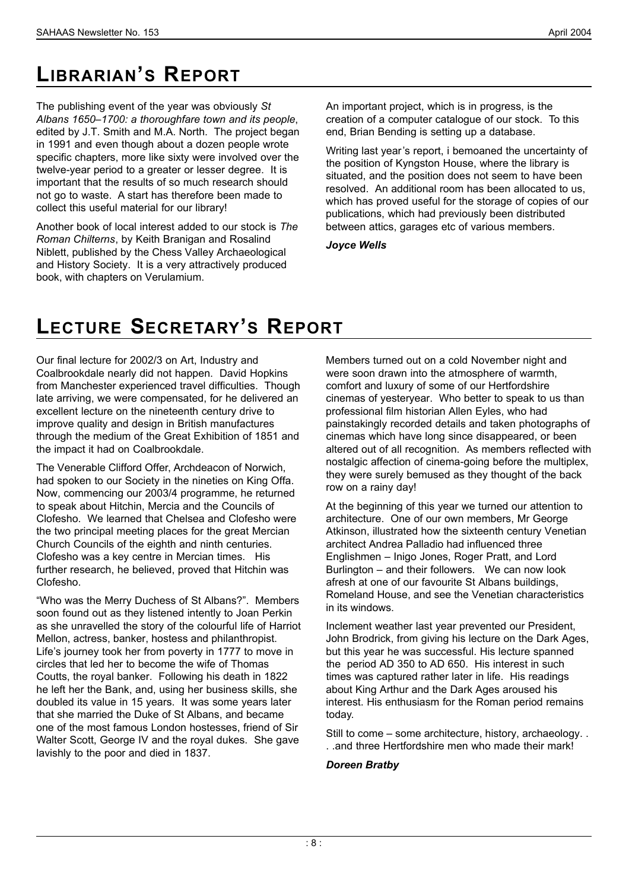# LIBRARIAN'S REPORT

The publishing event of the year was obviously *St Albans 1650–1700: a thoroughfare town and its people*, edited by J.T. Smith and M.A. North. The project began in 1991 and even though about a dozen people wrote specific chapters, more like sixty were involved over the twelve-year period to a greater or lesser degree. It is important that the results of so much research should not go to waste. A start has therefore been made to collect this useful material for our library!

Another book of local interest added to our stock is *The Roman Chilterns*, by Keith Branigan and Rosalind Niblett, published by the Chess Valley Archaeological and History Society. It is a very attractively produced book, with chapters on Verulamium.

An important project, which is in progress, is the creation of a computer catalogue of our stock. To this end, Brian Bending is setting up a database.

Writing last year's report, i bemoaned the uncertainty of the position of Kyngston House, where the library is situated, and the position does not seem to have been resolved. An additional room has been allocated to us, which has proved useful for the storage of copies of our publications, which had previously been distributed between attics, garages etc of various members.

*Joyce Wells*

## **LECTURE SECRETARY'S REPORT**

Our final lecture for 2002/3 on Art, Industry and Coalbrookdale nearly did not happen. David Hopkins from Manchester experienced travel difficulties. Though late arriving, we were compensated, for he delivered an excellent lecture on the nineteenth century drive to improve quality and design in British manufactures through the medium of the Great Exhibition of 1851 and the impact it had on Coalbrookdale.

The Venerable Clifford Offer, Archdeacon of Norwich, had spoken to our Society in the nineties on King Offa. Now, commencing our 2003/4 programme, he returned to speak about Hitchin, Mercia and the Councils of Clofesho. We learned that Chelsea and Clofesho were the two principal meeting places for the great Mercian Church Councils of the eighth and ninth centuries. Clofesho was a key centre in Mercian times. His further research, he believed, proved that Hitchin was Clofesho.

"Who was the Merry Duchess of St Albans?". Members soon found out as they listened intently to Joan Perkin as she unravelled the story of the colourful life of Harriot Mellon, actress, banker, hostess and philanthropist. Life's journey took her from poverty in 1777 to move in circles that led her to become the wife of Thomas Coutts, the royal banker. Following his death in 1822 he left her the Bank, and, using her business skills, she doubled its value in 15 years. It was some years later that she married the Duke of St Albans, and became one of the most famous London hostesses, friend of Sir Walter Scott, George IV and the royal dukes. She gave lavishly to the poor and died in 1837.

Members turned out on a cold November night and were soon drawn into the atmosphere of warmth, comfort and luxury of some of our Hertfordshire cinemas of yesteryear. Who better to speak to us than professional film historian Allen Eyles, who had painstakingly recorded details and taken photographs of cinemas which have long since disappeared, or been altered out of all recognition. As members reflected with nostalgic affection of cinema-going before the multiplex, they were surely bemused as they thought of the back row on a rainy day!

At the beginning of this year we turned our attention to architecture. One of our own members, Mr George Atkinson, illustrated how the sixteenth century Venetian architect Andrea Palladio had influenced three Englishmen – Inigo Jones, Roger Pratt, and Lord Burlington – and their followers. We can now look afresh at one of our favourite St Albans buildings, Romeland House, and see the Venetian characteristics in its windows.

Inclement weather last year prevented our President, John Brodrick, from giving his lecture on the Dark Ages, but this year he was successful. His lecture spanned the period AD 350 to AD 650. His interest in such times was captured rather later in life. His readings about King Arthur and the Dark Ages aroused his interest. His enthusiasm for the Roman period remains today.

Still to come – some architecture, history, archaeology. . . .and three Hertfordshire men who made their mark!

### *Doreen Bratby*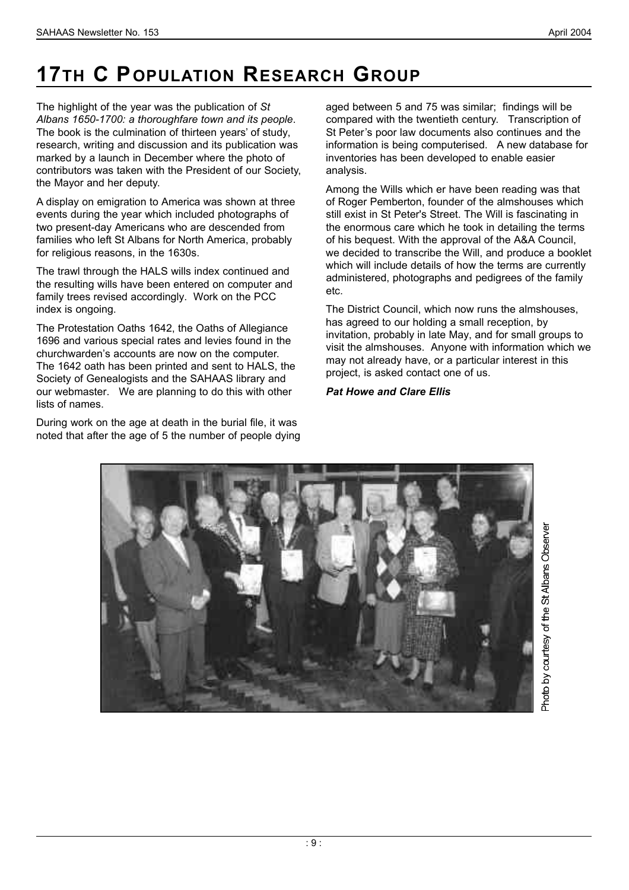# **17TH C POPULATION RESEARCH GROUP**

The highlight of the year was the publication of *St Albans 1650-1700: a thoroughfare town and its people*. The book is the culmination of thirteen years' of study, research, writing and discussion and its publication was marked by a launch in December where the photo of contributors was taken with the President of our Society, the Mayor and her deputy.

A display on emigration to America was shown at three events during the year which included photographs of two present-day Americans who are descended from families who left St Albans for North America, probably for religious reasons, in the 1630s.

The trawl through the HALS wills index continued and the resulting wills have been entered on computer and family trees revised accordingly. Work on the PCC index is ongoing.

The Protestation Oaths 1642, the Oaths of Allegiance 1696 and various special rates and levies found in the churchwarden's accounts are now on the computer. The 1642 oath has been printed and sent to HALS, the Society of Genealogists and the SAHAAS library and our webmaster. We are planning to do this with other lists of names.

During work on the age at death in the burial file, it was noted that after the age of 5 the number of people dying

aged between 5 and 75 was similar; findings will be compared with the twentieth century. Transcription of St Peter's poor law documents also continues and the information is being computerised. A new database for inventories has been developed to enable easier analysis.

Among the Wills which er have been reading was that of Roger Pemberton, founder of the almshouses which still exist in St Peter's Street. The Will is fascinating in the enormous care which he took in detailing the terms of his bequest. With the approval of the A&A Council, we decided to transcribe the Will, and produce a booklet which will include details of how the terms are currently administered, photographs and pedigrees of the family etc.

The District Council, which now runs the almshouses, has agreed to our holding a small reception, by invitation, probably in late May, and for small groups to visit the almshouses. Anyone with information which we may not already have, or a particular interest in this project, is asked contact one of us.

### *Pat Howe and Clare Ellis*

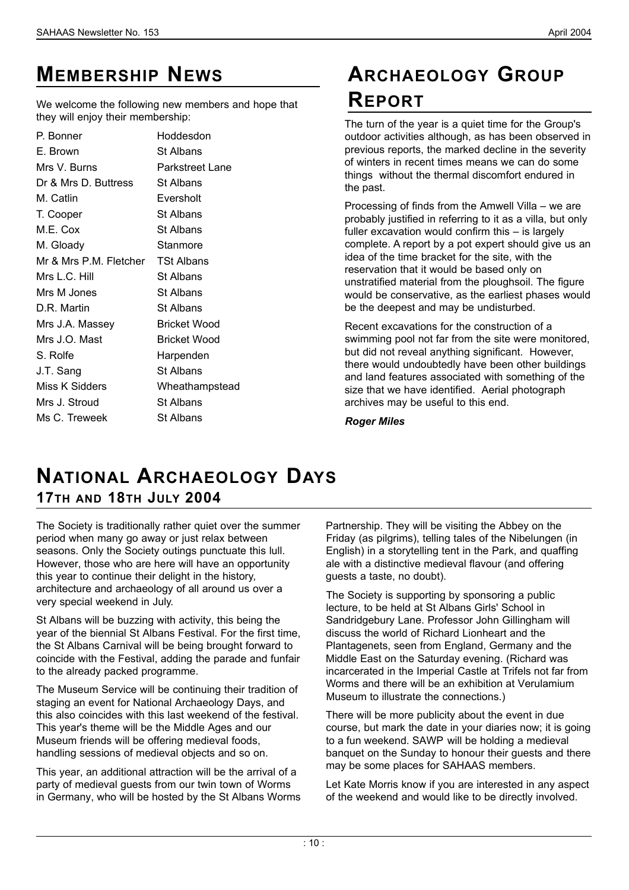## **MEMBERSHIP NEWS**

We welcome the following new members and hope that they will enjoy their membership:

P. Bonner Hoddesdon E. Brown St Albans Mrs V. Burns Parkstreet Lane Dr & Mrs D. Buttress St Albans M. Catlin Eversholt T. Cooper St Albans M.E. Cox St Albans M. Gloady Stanmore Mr & Mrs P.M. Fletcher TSt Albans Mrs L.C. Hill St Albans Mrs M Jones St Albans D.R. Martin St Albans Mrs J.A. Massey Bricket Wood Mrs J.O. Mast Bricket Wood S. Rolfe Harpenden J.T. Sang St Albans Miss K Sidders Wheathampstead Mrs J. Stroud St Albans Ms C. Treweek St Albans

## **AR C H A E O L O G Y GR O U P RE P O R T**

The turn of the year is a quiet time for the Group's outdoor activities although, as has been observed in previous reports, the marked decline in the severity of winters in recent times means we can do some things without the thermal discomfort endured in the past.

Processing of finds from the Amwell Villa – we are probably justified in referring to it as a villa, but only fuller excavation would confirm this – is largely complete. A report by a pot expert should give us an idea of the time bracket for the site, with the reservation that it would be based only on unstratified material from the ploughsoil. The figure would be conservative, as the earliest phases would be the deepest and may be undisturbed.

Recent excavations for the construction of a swimming pool not far from the site were monitored, but did not reveal anything significant. However, there would undoubtedly have been other buildings and land features associated with something of the size that we have identified. Aerial photograph archives may be useful to this end.

*Roger Miles*

## **NAT I O N A L AR C H A E O L O G Y DAY S 1 7T H A N D 1 8T H JU LY 2 0 0 4**

The Society is traditionally rather quiet over the summer period when many go away or just relax between seasons. Only the Society outings punctuate this lull. However, those who are here will have an opportunity this year to continue their delight in the history, architecture and archaeology of all around us over a very special weekend in July.

St Albans will be buzzing with activity, this being the year of the biennial St Albans Festival. For the first time, the St Albans Carnival will be being brought forward to coincide with the Festival, adding the parade and funfair to the already packed programme.

The Museum Service will be continuing their tradition of staging an event for National Archaeology Days, and this also coincides with this last weekend of the festival. This year's theme will be the Middle Ages and our Museum friends will be offering medieval foods, handling sessions of medieval objects and so on.

This year, an additional attraction will be the arrival of a party of medieval guests from our twin town of Worms in Germany, who will be hosted by the St Albans Worms

Partnership. They will be visiting the Abbey on the Friday (as pilgrims), telling tales of the Nibelungen (in English) in a storytelling tent in the Park, and quaffing ale with a distinctive medieval flavour (and offering guests a taste, no doubt).

The Society is supporting by sponsoring a public lecture, to be held at St Albans Girls' School in Sandridgebury Lane. Professor John Gillingham will discuss the world of Richard Lionheart and the Plantagenets, seen from England, Germany and the Middle East on the Saturday evening. (Richard was incarcerated in the Imperial Castle at Trifels not far from Worms and there will be an exhibition at Verulamium Museum to illustrate the connections.)

There will be more publicity about the event in due course, but mark the date in your diaries now; it is going to a fun weekend. SAWP will be holding a medieval banquet on the Sunday to honour their guests and there may be some places for SAHAAS members.

Let Kate Morris know if you are interested in any aspect of the weekend and would like to be directly involved.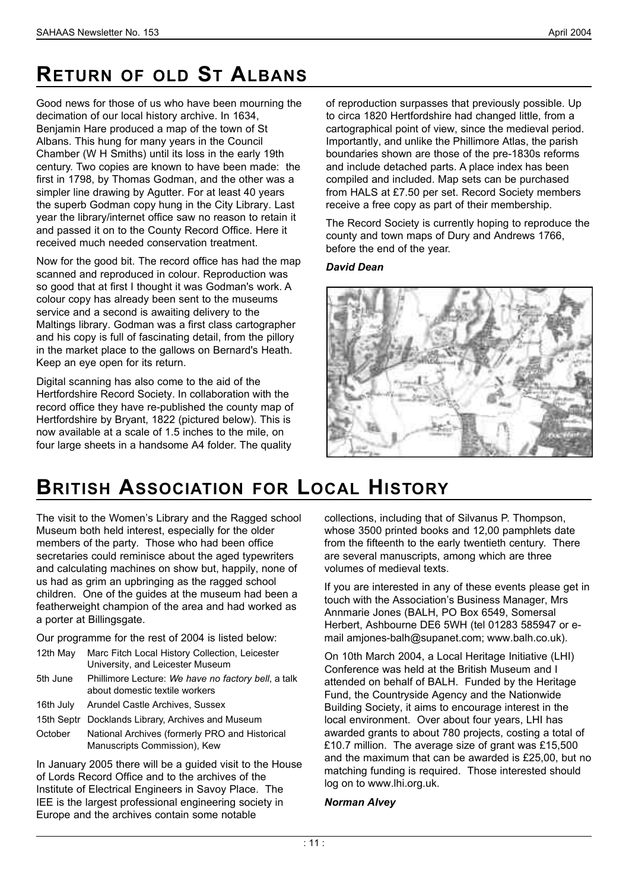## **RETURN OF OLD ST ALBANS**

Good news for those of us who have been mourning the decimation of our local history archive. In 1634, Benjamin Hare produced a map of the town of St Albans. This hung for many years in the Council Chamber (W H Smiths) until its loss in the early 19th century. Two copies are known to have been made: the first in 1798, by Thomas Godman, and the other was a simpler line drawing by Agutter. For at least 40 years the superb Godman copy hung in the City Library. Last year the library/internet office saw no reason to retain it and passed it on to the County Record Office. Here it received much needed conservation treatment.

Now for the good bit. The record office has had the map scanned and reproduced in colour. Reproduction was so good that at first I thought it was Godman's work. A colour copy has already been sent to the museums service and a second is awaiting delivery to the Maltings library. Godman was a first class cartographer and his copy is full of fascinating detail, from the pillory in the market place to the gallows on Bernard's Heath. Keep an eye open for its return.

Digital scanning has also come to the aid of the Hertfordshire Record Society. In collaboration with the record office they have re-published the county map of Hertfordshire by Bryant, 1822 (pictured below). This is now available at a scale of 1.5 inches to the mile, on four large sheets in a handsome A4 folder. The quality

of reproduction surpasses that previously possible. Up to circa 1820 Hertfordshire had changed little, from a cartographical point of view, since the medieval period. Importantly, and unlike the Phillimore Atlas, the parish boundaries shown are those of the pre-1830s reforms and include detached parts. A place index has been compiled and included. Map sets can be purchased from HALS at £7.50 per set. Record Society members receive a free copy as part of their membership.

The Record Society is currently hoping to reproduce the county and town maps of Dury and Andrews 1766, before the end of the year.

#### *David Dean*



## **BRITISH ASSOCIATION FOR LOCAL HISTORY**

The visit to the Women's Library and the Ragged school Museum both held interest, especially for the older members of the party. Those who had been office secretaries could reminisce about the aged typewriters and calculating machines on show but, happily, none of us had as grim an upbringing as the ragged school children. One of the guides at the museum had been a featherweight champion of the area and had worked as a porter at Billingsgate.

Our programme for the rest of 2004 is listed below:

| 12th May  | Marc Fitch Local History Collection, Leicester<br>University, and Leicester Museum    |
|-----------|---------------------------------------------------------------------------------------|
| 5th June  | Phillimore Lecture: We have no factory bell, a talk<br>about domestic textile workers |
| 16th July | Arundel Castle Archives, Sussex                                                       |

15th Septr Docklands Library, Archives and Museum

October National Archives (formerly PRO and Historical Manuscripts Commission), Kew

In January 2005 there will be a guided visit to the House of Lords Record Office and to the archives of the Institute of Electrical Engineers in Savoy Place. The IEE is the largest professional engineering society in Europe and the archives contain some notable

collections, including that of Silvanus P. Thompson, whose 3500 printed books and 12,00 pamphlets date from the fifteenth to the early twentieth century. There are several manuscripts, among which are three volumes of medieval texts.

If you are interested in any of these events please get in touch with the Association's Business Manager, Mrs Annmarie Jones (BALH, PO Box 6549, Somersal Herbert, Ashbourne DE6 5WH (tel 01283 585947 or email amjones-balh@supanet.com; www.balh.co.uk).

On 10th March 2004, a Local Heritage Initiative (LHI) Conference was held at the British Museum and I attended on behalf of BALH. Funded by the Heritage Fund, the Countryside Agency and the Nationwide Building Society, it aims to encourage interest in the local environment. Over about four years, LHI has awarded grants to about 780 projects, costing a total of £10.7 million. The average size of grant was £15,500 and the maximum that can be awarded is £25,00, but no matching funding is required. Those interested should log on to www.lhi.org.uk.

#### *Norman Alvey*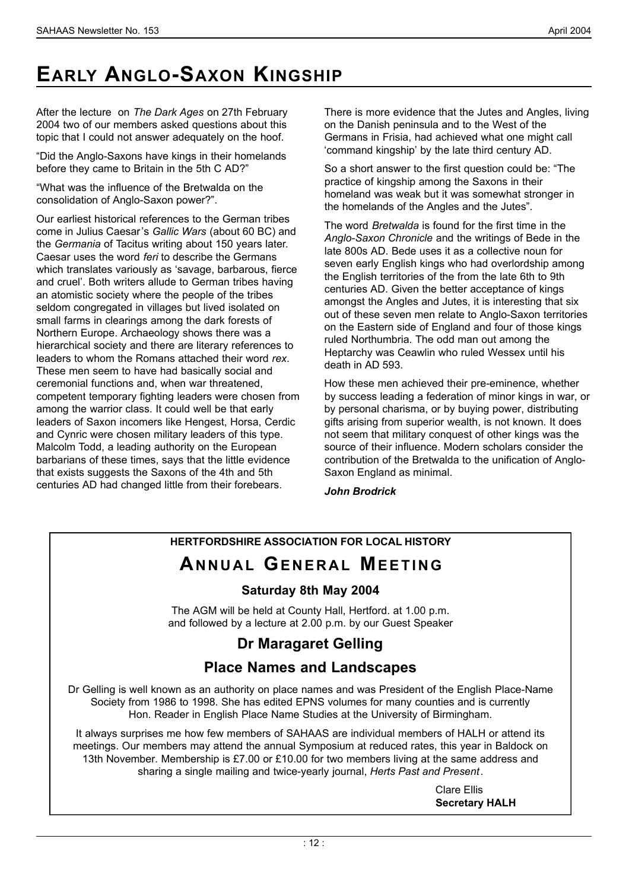# **EARLY ANGLO-SAXON KINGSHIP**

After the lecture on *The Dark Ages* on 27th February 2004 two of our members asked questions about this topic that I could not answer adequately on the hoof.

"Did the Anglo-Saxons have kings in their homelands before they came to Britain in the 5th C AD?"

"What was the influence of the Bretwalda on the consolidation of Anglo-Saxon power?".

Our earliest historical references to the German tribes come in Julius Caesar's *Gallic Wars* (about 60 BC) and the *Germania* of Tacitus writing about 150 years later. Caesar uses the word *feri* to describe the Germans which translates variously as 'savage, barbarous, fierce and cruel'. Both writers allude to German tribes having an atomistic society where the people of the tribes seldom congregated in villages but lived isolated on small farms in clearings among the dark forests of Northern Europe. Archaeology shows there was a hierarchical society and there are literary references to leaders to whom the Romans attached their word *rex*. These men seem to have had basically social and ceremonial functions and, when war threatened, competent temporary fighting leaders were chosen from among the warrior class. It could well be that early leaders of Saxon incomers like Hengest, Horsa, Cerdic and Cynric were chosen military leaders of this type. Malcolm Todd, a leading authority on the European barbarians of these times, says that the little evidence that exists suggests the Saxons of the 4th and 5th centuries AD had changed little from their forebears.

There is more evidence that the Jutes and Angles, living on the Danish peninsula and to the West of the Germans in Frisia, had achieved what one might call 'command kingship' by the late third century AD.

So a short answer to the first question could be: "The practice of kingship among the Saxons in their homeland was weak but it was somewhat stronger in the homelands of the Angles and the Jutes".

The word *Bretwalda* is found for the first time in the *Anglo-Saxon Chronicle* and the writings of Bede in the late 800s AD. Bede uses it as a collective noun for seven early English kings who had overlordship among the English territories of the from the late 6th to 9th centuries AD. Given the better acceptance of kings amongst the Angles and Jutes, it is interesting that six out of these seven men relate to Anglo-Saxon territories on the Eastern side of England and four of those kings ruled Northumbria. The odd man out among the Heptarchy was Ceawlin who ruled Wessex until his death in AD 593.

How these men achieved their pre-eminence, whether by success leading a federation of minor kings in war, or by personal charisma, or by buying power, distributing gifts arising from superior wealth, is not known. It does not seem that military conquest of other kings was the source of their influence. Modern scholars consider the contribution of the Bretwalda to the unification of Anglo-Saxon England as minimal.

*John Brodrick*

### **HERTFORDSHIRE ASSOCIATION FOR LOCAL HISTORY**

## **ANNUAL GENERAL MEETING**

### **Saturday 8th May 2004**

The AGM will be held at County Hall, Hertford. at 1.00 p.m. and followed by a lecture at 2.00 p.m. by our Guest Speaker

### **Dr Maragaret Gelling**

### **Place Names and Landscapes**

Dr Gelling is well known as an authority on place names and was President of the English Place-Name Society from 1986 to 1998. She has edited EPNS volumes for many counties and is currently Hon. Reader in English Place Name Studies at the University of Birmingham.

It always surprises me how few members of SAHAAS are individual members of HALH or attend its meetings. Our members may attend the annual Symposium at reduced rates, this year in Baldock on 13th November. Membership is £7.00 or £10.00 for two members living at the same address and sharing a single mailing and twice-yearly journal, *Herts Past and Present*.

> Clare Ellis **Secretary HALH**